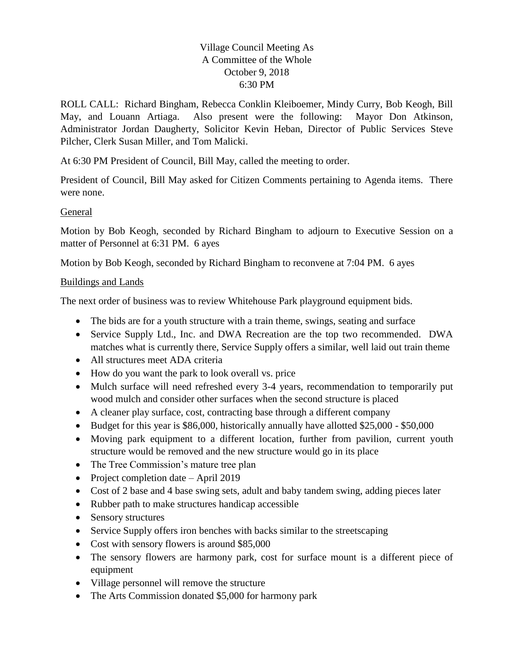## Village Council Meeting As A Committee of the Whole October 9, 2018 6:30 PM

ROLL CALL: Richard Bingham, Rebecca Conklin Kleiboemer, Mindy Curry, Bob Keogh, Bill May, and Louann Artiaga. Also present were the following: Mayor Don Atkinson, Administrator Jordan Daugherty, Solicitor Kevin Heban, Director of Public Services Steve Pilcher, Clerk Susan Miller, and Tom Malicki.

At 6:30 PM President of Council, Bill May, called the meeting to order.

President of Council, Bill May asked for Citizen Comments pertaining to Agenda items. There were none.

## General

Motion by Bob Keogh, seconded by Richard Bingham to adjourn to Executive Session on a matter of Personnel at 6:31 PM. 6 ayes

Motion by Bob Keogh, seconded by Richard Bingham to reconvene at 7:04 PM. 6 ayes

## Buildings and Lands

The next order of business was to review Whitehouse Park playground equipment bids.

- The bids are for a youth structure with a train theme, swings, seating and surface
- Service Supply Ltd., Inc. and DWA Recreation are the top two recommended. DWA matches what is currently there, Service Supply offers a similar, well laid out train theme
- All structures meet ADA criteria
- How do you want the park to look overall vs. price
- Mulch surface will need refreshed every 3-4 years, recommendation to temporarily put wood mulch and consider other surfaces when the second structure is placed
- A cleaner play surface, cost, contracting base through a different company
- Budget for this year is \$86,000, historically annually have allotted \$25,000 \$50,000
- Moving park equipment to a different location, further from pavilion, current youth structure would be removed and the new structure would go in its place
- The Tree Commission's mature tree plan
- Project completion date April 2019
- Cost of 2 base and 4 base swing sets, adult and baby tandem swing, adding pieces later
- Rubber path to make structures handicap accessible
- Sensory structures
- Service Supply offers iron benches with backs similar to the streetscaping
- Cost with sensory flowers is around \$85,000
- The sensory flowers are harmony park, cost for surface mount is a different piece of equipment
- Village personnel will remove the structure
- The Arts Commission donated \$5,000 for harmony park